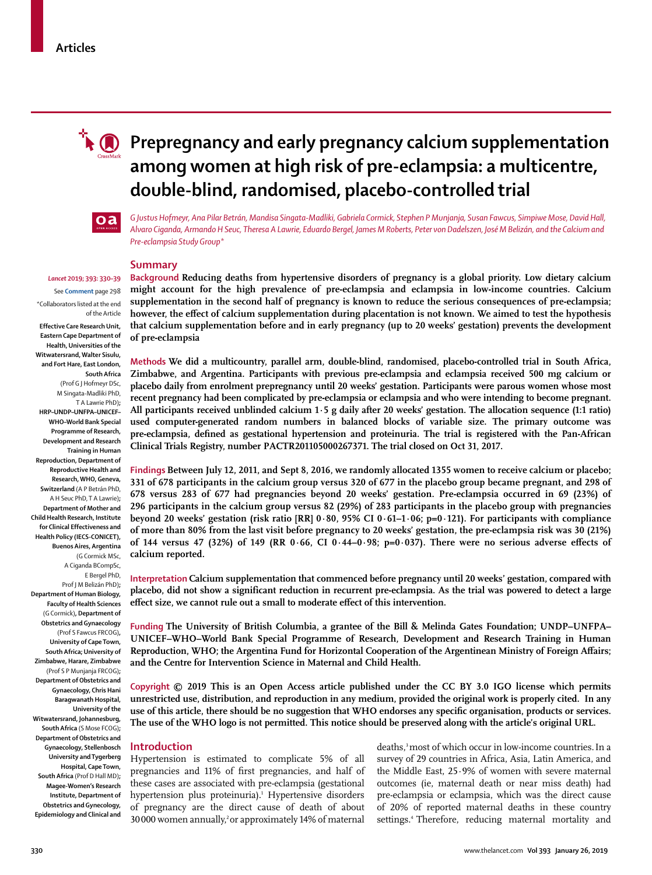# **R P** Prepregnancy and early pregnancy calcium supplementation **among women at high risk of pre-eclampsia: a multicentre, double-blind, randomised, placebo-controlled trial**



*G Justus Hofmeyr, Ana Pilar Betrán, Mandisa Singata-Madliki, Gabriela Cormick, Stephen P Munjanja, Susan Fawcus, Simpiwe Mose, David Hall, Alvaro Ciganda, Armando H Seuc, Theresa A Lawrie, Eduardo Bergel, James M Roberts, Peter von Dadelszen, José M Belizán, and the Calcium and Pre-eclampsia Study Group\**

### **Summary**

**Background Reducing deaths from hypertensive disorders of pregnancy is a global priority. Low dietary calcium might account for the high prevalence of pre-eclampsia and eclampsia in low-income countries. Calcium supplementation in the second half of pregnancy is known to reduce the serious consequences of pre-eclampsia; however, the effect of calcium supplementation during placentation is not known. We aimed to test the hypothesis that calcium supplementation before and in early pregnancy (up to 20 weeks' gestation) prevents the development of pre-eclampsia**

**Methods We did a multicountry, parallel arm, double-blind, randomised, placebo-controlled trial in South Africa, Zimbabwe, and Argentina. Participants with previous pre-eclampsia and eclampsia received 500 mg calcium or placebo daily from enrolment prepregnancy until 20 weeks' gestation. Participants were parous women whose most recent pregnancy had been complicated by pre-eclampsia or eclampsia and who were intending to become pregnant. All participants received unblinded calcium 1·5 g daily after 20 weeks' gestation. The allocation sequence (1:1 ratio) used computer-generated random numbers in balanced blocks of variable size. The primary outcome was pre-eclampsia, defined as gestational hypertension and proteinuria. The trial is registered with the Pan-African Clinical Trials Registry, number PACTR201105000267371. The trial closed on Oct 31, 2017.**

**Findings Between July 12, 2011, and Sept 8, 2016, we randomly allocated 1355 women to receive calcium or placebo; 331 of 678 participants in the calcium group versus 320 of 677 in the placebo group became pregnant, and 298 of 678 versus 283 of 677 had pregnancies beyond 20 weeks' gestation. Pre-eclampsia occurred in 69 (23%) of 296 participants in the calcium group versus 82 (29%) of 283 participants in the placebo group with pregnancies beyond 20 weeks' gestation (risk ratio [RR] 0·80, 95% CI 0·61–1·06; p=0·121). For participants with compliance of more than 80% from the last visit before pregnancy to 20 weeks' gestation, the pre-eclampsia risk was 30 (21%) of 144 versus 47 (32%) of 149 (RR 0·66, CI 0·44–0·98; p=0·037). There were no serious adverse effects of calcium reported.**

**Interpretation Calcium supplementation that commenced before pregnancy until 20 weeks' gestation, compared with placebo, did not show a significant reduction in recurrent pre-eclampsia. As the trial was powered to detect a large effect size, we cannot rule out a small to moderate effect of this intervention.**

**Funding The University of British Columbia, a grantee of the Bill & Melinda Gates Foundation; UNDP–UNFPA– UNICEF–WHO–World Bank Special Programme of Research, Development and Research Training in Human Reproduction, WHO; the Argentina Fund for Horizontal Cooperation of the Argentinean Ministry of Foreign Affairs; and the Centre for Intervention Science in Maternal and Child Health.**

**Copyright © 2019 This is an Open Access article published under the CC BY 3.0 IGO license which permits unrestricted use, distribution, and reproduction in any medium, provided the original work is properly cited. In any use of this article, there should be no suggestion that WHO endorses any specific organisation, products or services. The use of the WHO logo is not permitted. This notice should be preserved along with the article's original URL.**

#### **Introduction**

Hypertension is estimated to complicate 5% of all pregnancies and 11% of first pregnancies, and half of these cases are associated with pre-eclampsia (gestational hypertension plus proteinuria).<sup>1</sup> Hypertensive disorders of pregnancy are the direct cause of death of about 30000 women annually,<sup>2</sup> or approximately 14% of maternal

deaths,3 most of which occur in low-income countries.In a survey of 29 countries in Africa, Asia, Latin America, and the Middle East, 25∙9% of women with severe maternal outcomes (ie, maternal death or near miss death) had pre-eclampsia or eclampsia, which was the direct cause of 20% of reported maternal deaths in these country settings.<sup>4</sup> Therefore, reducing maternal mortality and

## *Lancet* **2019; 393: 330–39**

See **Comment** page 298 \*Collaborators listed at the end of the Article

**Effective Care Research Unit, Eastern Cape Department of Health, Universities of the Witwatersrand, Walter Sisulu, and Fort Hare, East London, South Africa** (Prof G J Hofmeyr DSc, M Singata-Madliki PhD, T A Lawrie PhD)**; HRP–UNDP–UNFPA–UNICEF– WHO–World Bank Special Programme of Research, Development and Research Training in Human Reproduction, Department of Reproductive Health and Research, WHO, Geneva, Switzerland** (A P Betrán PhD, A H Seuc PhD, T A Lawrie)**; Department of Mother and Child Health Research, Institute for Clinical Effectiveness and Health Policy (IECS-CONICET), Buenos Aires, Argentina** (G Cormick MSc,

A Ciganda BCompSc, E Bergel PhD, Prof J M Belizán PhD)**;**

**Department of Human Biology, Faculty of Health Sciences**  (G Cormick)**, Department of Obstetrics and Gynaecology**  (Prof S Fawcus FRCOG)**, University of Cape Town, South Africa; University of Zimbabwe, Harare, Zimbabwe** (Prof S P Munjanja FRCOG)**; Department of Obstetrics and Gynaecology, Chris Hani Baragwanath Hospital, University of the Witwatersrand, Johannesburg, South Africa** (S Mose FCOG)**; Department of Obstetrics and Gynaecology, Stellenbosch University and Tygerberg Hospital, Cape Town, South Africa** (Prof D Hall MD)**; Magee-Women's Research Institute, Department of Obstetrics and Gynecology, Epidemiology and Clinical and**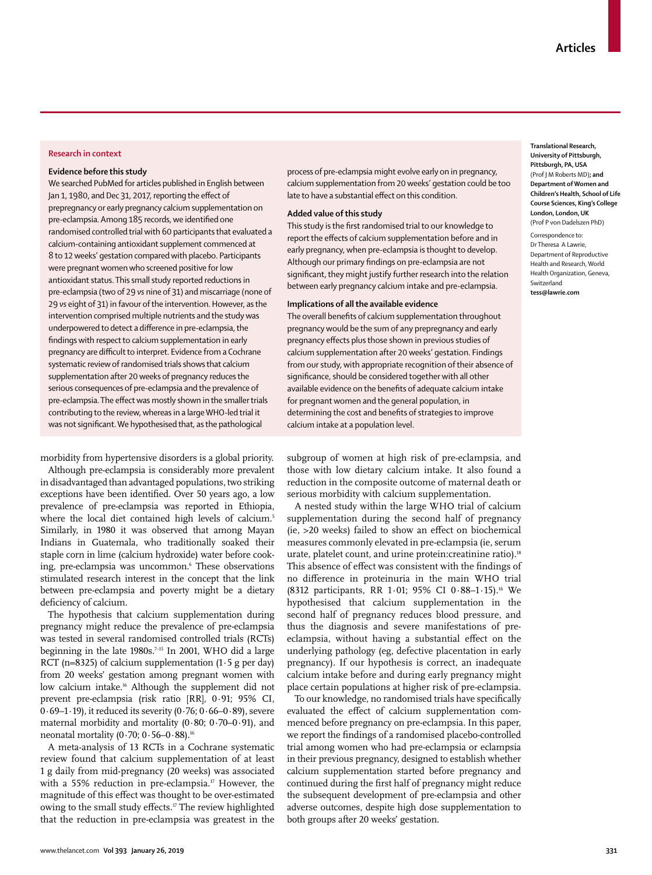#### **Research in context**

#### **Evidence before this study**

We searched PubMed for articles published in English between Jan 1, 1980, and Dec 31, 2017, reporting the effect of prepregnancy or early pregnancy calcium supplementation on pre-eclampsia. Among 185 records, we identified one randomised controlled trial with 60 participants that evaluated a calcium-containing antioxidant supplement commenced at 8 to 12 weeks' gestation compared with placebo. Participants were pregnant women who screened positive for low antioxidant status. This small study reported reductions in pre-eclampsia (two of 29 *vs* nine of 31) and miscarriage (none of 29 *vs* eight of 31) in favour of the intervention. However, as the intervention comprised multiple nutrients and the study was underpowered to detect a difference in pre-eclampsia, the findings with respect to calcium supplementation in early pregnancy are difficult to interpret. Evidence from a Cochrane systematic review of randomised trials shows that calcium supplementation after 20 weeks of pregnancy reduces the serious consequences of pre-eclampsia and the prevalence of pre-eclampsia. The effect was mostly shown in the smaller trials contributing to the review, whereas in a large WHO-led trial it was not significant. We hypothesised that, as the pathological

morbidity from hypertensive disorders is a global priority.

Although pre-eclampsia is considerably more prevalent in disadvantaged than advantaged populations, two striking exceptions have been identified. Over 50 years ago, a low prevalence of pre-eclampsia was reported in Ethiopia, where the local diet contained high levels of calcium.<sup>5</sup> Similarly, in 1980 it was observed that among Mayan Indians in Guatemala, who traditionally soaked their staple corn in lime (calcium hydroxide) water before cooking, pre-eclampsia was uncommon.6 These observations stimulated research interest in the concept that the link between pre-eclampsia and poverty might be a dietary deficiency of calcium.

The hypothesis that calcium supplementation during pregnancy might reduce the prevalence of pre-eclampsia was tested in several randomised controlled trials (RCTs) beginning in the late  $1980s$ <sup> $7-15$ </sup> In 2001, WHO did a large RCT (n=8325) of calcium supplementation  $(1.5 \text{ g per day})$ from 20 weeks' gestation among pregnant women with low calcium intake.<sup>16</sup> Although the supplement did not prevent pre-eclampsia (risk ratio [RR], 0·91; 95% CI, 0 $0.69-1.19$ ), it reduced its severity (0 $0.76$ ; 0 $0.66-0.89$ ), severe maternal morbidity and mortality  $(0.80; 0.70-0.91)$ , and neonatal mortality  $(0.70; 0.56 - 0.88)$ .<sup>16</sup>

A meta-analysis of 13 RCTs in a Cochrane systematic review found that calcium supplementation of at least 1 g daily from mid-pregnancy (20 weeks) was associated with a 55% reduction in pre-eclampsia.<sup>17</sup> However, the magnitude of this effect was thought to be over-estimated owing to the small study effects.<sup>17</sup> The review highlighted that the reduction in pre-eclampsia was greatest in the process of pre-eclampsia might evolve early on in pregnancy, calcium supplementation from 20 weeks' gestation could be too late to have a substantial effect on this condition.

#### **Added value of this study**

This study is the first randomised trial to our knowledge to report the effects of calcium supplementation before and in early pregnancy, when pre-eclampsia is thought to develop. Although our primary findings on pre-eclampsia are not significant, they might justify further research into the relation between early pregnancy calcium intake and pre-eclampsia.

#### **Implications of all the available evidence**

The overall benefits of calcium supplementation throughout pregnancy would be the sum of any prepregnancy and early pregnancy effects plus those shown in previous studies of calcium supplementation after 20 weeks' gestation. Findings from our study, with appropriate recognition of their absence of significance, should be considered together with all other available evidence on the benefits of adequate calcium intake for pregnant women and the general population, in determining the cost and benefits of strategies to improve calcium intake at a population level.

**Translational Research, University of Pittsburgh, Pittsburgh, PA, USA** (Prof J M Roberts MD)**; and Department of Women and Children's Health, School of Life Course Sciences, King's College London, London, UK** (Prof P von Dadelszen PhD)

Correspondence to: Dr Theresa A Lawrie, Department of Reproductive Health and Research, World Health Organization, Geneva, Switzerland **tess@lawrie.com**

subgroup of women at high risk of pre-eclampsia, and those with low dietary calcium intake. It also found a reduction in the composite outcome of maternal death or serious morbidity with calcium supplementation.

A nested study within the large WHO trial of calcium supplementation during the second half of pregnancy (ie, >20 weeks) failed to show an effect on biochemical measures commonly elevated in pre-eclampsia (ie, serum urate, platelet count, and urine protein: creatinine ratio).<sup>18</sup> This absence of effect was consistent with the findings of no difference in proteinuria in the main WHO trial (8312 participants, RR 1·01; 95% CI 0·88–1·15).16 We hypothesised that calcium supplementation in the second half of pregnancy reduces blood pressure, and thus the diagnosis and severe manifestations of preeclampsia, without having a substantial effect on the underlying pathology (eg, defective placentation in early pregnancy). If our hypothesis is correct, an inadequate calcium intake before and during early pregnancy might place certain populations at higher risk of pre-eclampsia.

To our knowledge, no randomised trials have specifically evaluated the effect of calcium supplementation commenced before pregnancy on pre-eclampsia. In this paper, we report the findings of a randomised placebo-controlled trial among women who had pre-eclampsia or eclampsia in their previous pregnancy, designed to establish whether calcium supplementation started before pregnancy and continued during the first half of pregnancy might reduce the subsequent development of pre-eclampsia and other adverse outcomes, despite high dose supplementation to both groups after 20 weeks' gestation.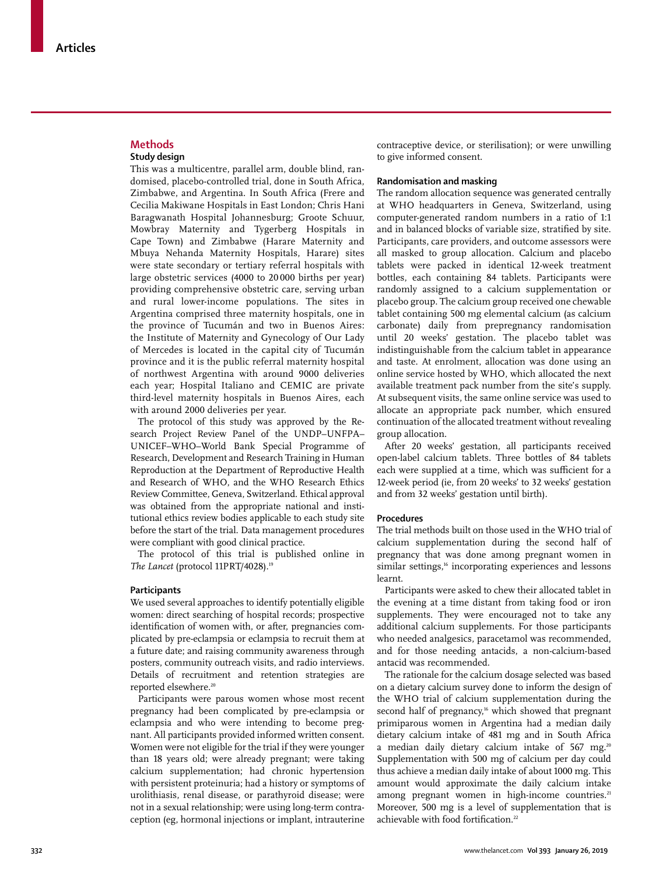#### **Methods Study design**

This was a multicentre, parallel arm, double blind, randomised, placebo-controlled trial, done in South Africa, Zimbabwe, and Argentina. In South Africa (Frere and Cecilia Makiwane Hospitals in East London; Chris Hani Baragwanath Hospital Johannesburg; Groote Schuur, Mowbray Maternity and Tygerberg Hospitals in Cape Town) and Zimbabwe (Harare Maternity and Mbuya Nehanda Maternity Hospitals, Harare) sites were state secondary or tertiary referral hospitals with large obstetric services (4000 to 20 000 births per year) providing comprehensive obstetric care, serving urban and rural lower-income populations. The sites in Argentina comprised three maternity hospitals, one in the province of Tucumán and two in Buenos Aires: the Institute of Maternity and Gynecology of Our Lady of Mercedes is located in the capital city of Tucumán province and it is the public referral maternity hospital of northwest Argentina with around 9000 deliveries each year; Hospital Italiano and CEMIC are private third-level maternity hospitals in Buenos Aires, each with around 2000 deliveries per year.

The protocol of this study was approved by the Research Project Review Panel of the UNDP–UNFPA– UNICEF–WHO–World Bank Special Programme of Research, Development and Research Training in Human Reproduction at the Department of Reproductive Health and Research of WHO, and the WHO Research Ethics Review Committee, Geneva, Switzerland. Ethical approval was obtained from the appropriate national and institutional ethics review bodies applicable to each study site before the start of the trial. Data management procedures were compliant with good clinical practice.

The protocol of this trial is published online in The Lancet (protocol 11PRT/4028).<sup>19</sup>

#### **Participants**

We used several approaches to identify potentially eligible women: direct searching of hospital records; prospective identification of women with, or after, pregnancies complicated by pre-eclampsia or eclampsia to recruit them at a future date; and raising community awareness through posters, community outreach visits, and radio interviews. Details of recruitment and retention strategies are reported elsewhere.<sup>20</sup>

Participants were parous women whose most recent pregnancy had been complicated by pre-eclampsia or eclampsia and who were intending to become pregnant. All participants provided informed written consent. Women were not eligible for the trial if they were younger than 18 years old; were already pregnant; were taking calcium supplementation; had chronic hypertension with persistent proteinuria; had a history or symptoms of urolithiasis, renal disease, or parathyroid disease; were not in a sexual relationship; were using long-term contraception (eg, hormonal injections or implant, intrauterine contraceptive device, or sterilisation); or were unwilling to give informed consent.

#### **Randomisation and masking**

The random allocation sequence was generated centrally at WHO headquarters in Geneva, Switzerland, using computer-generated random numbers in a ratio of 1:1 and in balanced blocks of variable size, stratified by site. Participants, care providers, and outcome assessors were all masked to group allocation. Calcium and placebo tablets were packed in identical 12-week treatment bottles, each containing 84 tablets. Participants were randomly assigned to a calcium supplementation or placebo group. The calcium group received one chewable tablet containing 500 mg elemental calcium (as calcium carbonate) daily from prepregnancy randomisation until 20 weeks' gestation. The placebo tablet was indistinguishable from the calcium tablet in appearance and taste. At enrolment, allocation was done using an online service hosted by WHO, which allocated the next available treatment pack number from the site's supply. At subsequent visits, the same online service was used to allocate an appropriate pack number, which ensured continuation of the allocated treatment without revealing group allocation.

After 20 weeks' gestation, all participants received open-label calcium tablets. Three bottles of 84 tablets each were supplied at a time, which was sufficient for a 12-week period (ie, from 20 weeks' to 32 weeks' gestation and from 32 weeks' gestation until birth).

#### **Procedures**

The trial methods built on those used in the WHO trial of calcium supplementation during the second half of pregnancy that was done among pregnant women in similar settings,<sup>16</sup> incorporating experiences and lessons learnt.

Participants were asked to chew their allocated tablet in the evening at a time distant from taking food or iron supplements. They were encouraged not to take any additional calcium supplements. For those participants who needed analgesics, paracetamol was recommended, and for those needing antacids, a non-calcium-based antacid was recommended.

The rationale for the calcium dosage selected was based on a dietary calcium survey done to inform the design of the WHO trial of calcium supplementation during the second half of pregnancy,<sup>16</sup> which showed that pregnant primiparous women in Argentina had a median daily dietary calcium intake of 481 mg and in South Africa a median daily dietary calcium intake of 567 mg.<sup>20</sup> Supplementation with 500 mg of calcium per day could thus achieve a median daily intake of about 1000 mg. This amount would approximate the daily calcium intake among pregnant women in high-income countries.<sup>21</sup> Moreover, 500 mg is a level of supplementation that is achievable with food fortification.<sup>22</sup>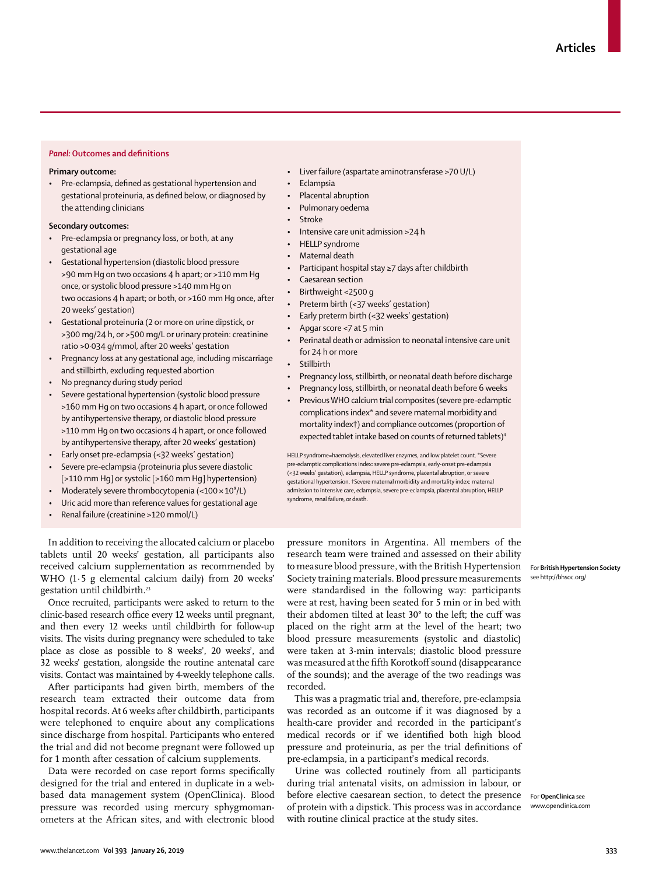#### *Panel:* **Outcomes and definitions**

#### **Primary outcome:**

• Pre-eclampsia, defined as gestational hypertension and gestational proteinuria, as defined below, or diagnosed by the attending clinicians

#### **Secondary outcomes:**

- Pre-eclampsia or pregnancy loss, or both, at any gestational age
- Gestational hypertension (diastolic blood pressure >90 mm Hg on two occasions 4 h apart; or >110 mm Hg once, or systolic blood pressure >140 mm Hg on two occasions 4 h apart; or both, or >160 mm Hg once, after 20 weeks' gestation)
- Gestational proteinuria (2 or more on urine dipstick, or >300 mg/24 h, or >500 mg/L or urinary protein: creatinine ratio >0·034 g/mmol, after 20 weeks' gestation
- Pregnancy loss at any gestational age, including miscarriage and stillbirth, excluding requested abortion
- No pregnancy during study period
- Severe gestational hypertension (systolic blood pressure >160 mm Hg on two occasions 4 h apart, or once followed by antihypertensive therapy, or diastolic blood pressure >110 mm Hg on two occasions 4 h apart, or once followed by antihypertensive therapy, after 20 weeks' gestation)
- Early onset pre-eclampsia (<32 weeks' gestation)
- Severe pre-eclampsia (proteinuria plus severe diastolic [>110 mm Hg] or systolic [>160 mm Hg] hypertension)
- Moderately severe thrombocytopenia (< $100 \times 10^9$ /L)
- Uric acid more than reference values for gestational age
- Renal failure (creatinine >120 mmol/L)
- Liver failure (aspartate aminotransferase >70 U/L)
- **Eclampsia**
- Placental abruption
- Pulmonary oedema
- **Stroke**
- Intensive care unit admission >24 h
- HELLP syndrome
- Maternal death
- Participant hospital stay ≥7 days after childbirth
- Caesarean section
- Birthweight <2500 g
- Preterm birth (<37 weeks' gestation)
- Early preterm birth (<32 weeks' gestation)
- Apgar score <7 at 5 min
- Perinatal death or admission to neonatal intensive care unit for 24 h or more
- Stillbirth
- Pregnancy loss, stillbirth, or neonatal death before discharge
- Pregnancy loss, stillbirth, or neonatal death before 6 weeks
- Previous WHO calcium trial composites (severe pre-eclamptic complications index\* and severe maternal morbidity and mortality index†) and compliance outcomes (proportion of expected tablet intake based on counts of returned tablets)<sup>4</sup>

HELLP syndrome=haemolysis, elevated liver enzymes, and low platelet count. \*Severe pre-eclamptic complications index: severe pre-eclampsia, early-onset pre-eclampsia (<32 weeks' gestation), eclampsia, HELLP syndrome, placental abruption, or severe gestational hypertension. †Severe maternal morbidity and mortality index: maternal admission to intensive care, eclampsia, severe pre-eclampsia, placental abruption, HELLP syndrome, renal failure, or death.

In addition to receiving the allocated calcium or placebo tablets until 20 weeks' gestation, all participants also received calcium supplementation as recommended by WHO (1·5 g elemental calcium daily) from 20 weeks' gestation until childbirth.<sup>23</sup>

Once recruited, participants were asked to return to the clinic-based research office every 12 weeks until pregnant, and then every 12 weeks until childbirth for follow-up visits. The visits during pregnancy were scheduled to take place as close as possible to 8 weeks', 20 weeks', and 32 weeks' gestation, alongside the routine antenatal care visits. Contact was maintained by 4-weekly telephone calls.

After participants had given birth, members of the research team extracted their outcome data from hospital records. At 6 weeks after childbirth, participants were telephoned to enquire about any complications since discharge from hospital. Participants who entered the trial and did not become pregnant were followed up for 1 month after cessation of calcium supplements.

Data were recorded on case report forms specifically designed for the trial and entered in duplicate in a webbased data management system ([OpenClinica\)](www.openclinica.com). Blood pressure was recorded using mercury sphygmomanometers at the African sites, and with electronic blood pressure monitors in Argentina. All members of the research team were trained and assessed on their ability to measure blood pressure, with the [British Hypertension](http://bhsoc.org/) [Society](http://bhsoc.org/) training materials. Blood pressure measurements were standardised in the following way: participants were at rest, having been seated for 5 min or in bed with their abdomen tilted at least 30° to the left; the cuff was placed on the right arm at the level of the heart; two blood pressure measurements (systolic and diastolic) were taken at 3-min intervals; diastolic blood pressure was measured at the fifth Korotkoff sound (disappearance of the sounds); and the average of the two readings was recorded.

This was a pragmatic trial and, therefore, pre-eclampsia was recorded as an outcome if it was diagnosed by a health-care provider and recorded in the participant's medical records or if we identified both high blood pressure and proteinuria, as per the trial definitions of pre-eclampsia, in a participant's medical records.

Urine was collected routinely from all participants during trial antenatal visits, on admission in labour, or before elective caesarean section, to detect the presence For **OpenClinica** see of protein with a dipstick. This process was in accordance www.openclinica.com with routine clinical practice at the study sites.

For **British Hypertension Society**  see http://bhsoc.org/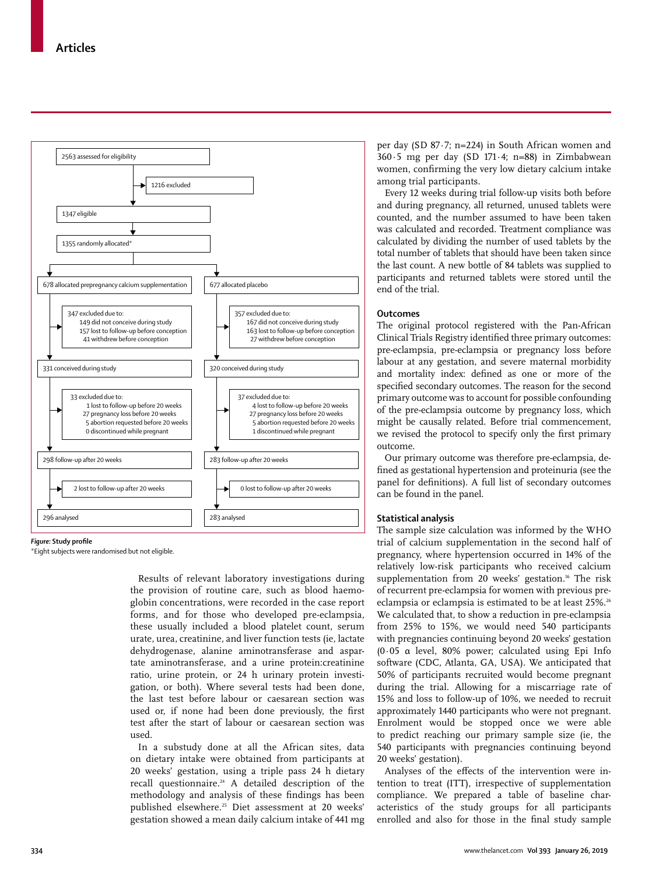

#### *Figure:* **Study profile**

\*Eight subjects were randomised but not eligible.

Results of relevant laboratory investigations during the provision of routine care, such as blood haemoglobin concentrations, were recorded in the case report forms, and for those who developed pre-eclampsia, these usually included a blood platelet count, serum urate, urea, creatinine, and liver function tests (ie, lactate dehydrogenase, alanine aminotransferase and aspartate aminotransferase, and a urine protein:creatinine ratio, urine protein, or 24 h urinary protein investigation, or both). Where several tests had been done, the last test before labour or caesarean section was used or, if none had been done previously, the first test after the start of labour or caesarean section was used.

In a substudy done at all the African sites, data on dietary intake were obtained from participants at 20 weeks' gestation, using a triple pass 24 h dietary recall questionnaire.<sup>24</sup> A detailed description of the methodology and analysis of these findings has been published elsewhere.25 Diet assessment at 20 weeks' gestation showed a mean daily calcium intake of 441 mg per day (SD 87·7; n=224) in South African women and 360·5 mg per day (SD 171·4; n=88) in Zimbabwean women, confirming the very low dietary calcium intake among trial participants.

Every 12 weeks during trial follow-up visits both before and during pregnancy, all returned, unused tablets were counted, and the number assumed to have been taken was calculated and recorded. Treatment compliance was calculated by dividing the number of used tablets by the total number of tablets that should have been taken since the last count. A new bottle of 84 tablets was supplied to participants and returned tablets were stored until the end of the trial.

### **Outcomes**

The original protocol registered with the Pan-African Clinical Trials Registry identified three primary outcomes: pre-eclampsia, pre-eclampsia or pregnancy loss before labour at any gestation, and severe maternal morbidity and mortality index: defined as one or more of the specified secondary outcomes. The reason for the second primary outcome was to account for possible confounding of the pre-eclampsia outcome by pregnancy loss, which might be causally related. Before trial commencement, we revised the protocol to specify only the first primary outcome.

Our primary outcome was therefore pre-eclampsia, defined as gestational hypertension and proteinuria (see the panel for definitions). A full list of secondary outcomes can be found in the panel.

#### **Statistical analysis**

The sample size calculation was informed by the WHO trial of calcium supplementation in the second half of pregnancy, where hypertension occurred in 14% of the relatively low-risk participants who received calcium supplementation from 20 weeks' gestation.<sup>16</sup> The risk of recurrent pre-eclampsia for women with previous preeclampsia or eclampsia is estimated to be at least 25%.<sup>26</sup> We calculated that, to show a reduction in pre-eclampsia from 25% to 15%, we would need 540 participants with pregnancies continuing beyond 20 weeks' gestation (0∙05 α level, 80% power; calculated using Epi Info software (CDC, Atlanta, GA, USA). We anticipated that 50% of participants recruited would become pregnant during the trial. Allowing for a miscarriage rate of 15% and loss to follow-up of 10%, we needed to recruit approximately 1440 participants who were not pregnant. Enrolment would be stopped once we were able to predict reaching our primary sample size (ie, the 540 participants with pregnancies continuing beyond 20 weeks' gestation).

Analyses of the effects of the intervention were intention to treat (ITT), irrespective of supplementation compliance. We prepared a table of baseline characteristics of the study groups for all participants enrolled and also for those in the final study sample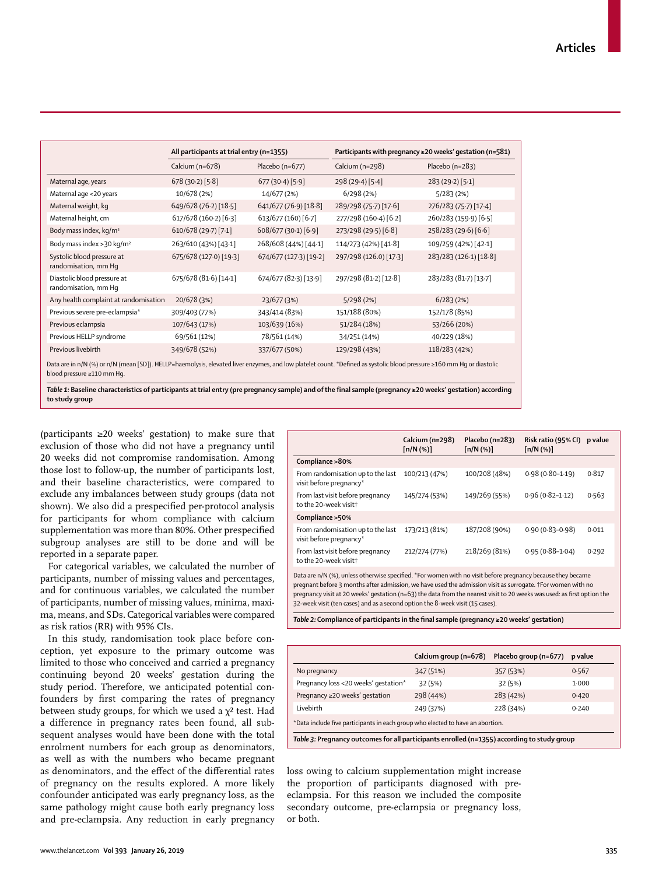|                                                                                                                                                                                                     | All participants at trial entry (n=1355) |                        | Participants with pregnancy $\geq$ 20 weeks' gestation (n=581) |                        |  |
|-----------------------------------------------------------------------------------------------------------------------------------------------------------------------------------------------------|------------------------------------------|------------------------|----------------------------------------------------------------|------------------------|--|
|                                                                                                                                                                                                     | Calcium (n=678)                          | Placebo ( $n=677$ )    | Calcium (n=298)                                                | Placebo (n=283)        |  |
| Maternal age, years                                                                                                                                                                                 | 678(30.2)[5.8]                           | 677(30.4)[5.9]         | 298 (29.4) [5.4]                                               | 283 (29.2) [5.1]       |  |
| Maternal age <20 years                                                                                                                                                                              | 10/678 (2%)                              | 14/677 (2%)            | 6/298(2%)                                                      | 5/283(2%)              |  |
| Maternal weight, kg                                                                                                                                                                                 | 649/678 (76.2) [18.5]                    | 641/677 (76.9) [18.8]  | 289/298 (75.7) [17.6]                                          | 276/283 (75.7) [17.4]  |  |
| Maternal height, cm                                                                                                                                                                                 | 617/678 (160-2) [6-3]                    | 613/677 (160) [6.7]    | 277/298 (160-4) [6-2]                                          | 260/283 (159.9) [6.5]  |  |
| Body mass index, kg/m <sup>2</sup>                                                                                                                                                                  | 610/678 (29.7) [7.1]                     | 608/677 (30-1) [6-9]   | 273/298 (29.5) [6.8]                                           | 258/283 (29.6) [6.6]   |  |
| Body mass index > 30 kg/m <sup>2</sup>                                                                                                                                                              | 263/610 (43%) [43.1]                     | 268/608 (44%) [44-1]   | 114/273 (42%) [41-8]                                           | 109/259 (42%) [42-1]   |  |
| Systolic blood pressure at<br>randomisation, mm Hq                                                                                                                                                  | 675/678 (127.0) [19.3]                   | 674/677 (127.3) [19.2] | 297/298 (126.0) [17.3]                                         | 283/283 (126-1) [18-8] |  |
| Diastolic blood pressure at<br>randomisation, mm Hq                                                                                                                                                 | 675/678 (81.6) [14.1]                    | 674/677 (82-3) [13-9]  | 297/298 (81.2) [12.8]                                          | 283/283 (81.7) [13.7]  |  |
| Any health complaint at randomisation                                                                                                                                                               | 20/678 (3%)                              | 23/677 (3%)            | 5/298(2%)                                                      | 6/283(2%)              |  |
| Previous severe pre-eclampsia*                                                                                                                                                                      | 309/403 (77%)                            | 343/414 (83%)          | 151/188 (80%)                                                  | 152/178 (85%)          |  |
| Previous eclampsia                                                                                                                                                                                  | 107/643 (17%)                            | 103/639 (16%)          | 51/284 (18%)                                                   | 53/266 (20%)           |  |
| Previous HELLP syndrome                                                                                                                                                                             | 69/561 (12%)                             | 78/561 (14%)           | 34/251 (14%)                                                   | 40/229 (18%)           |  |
| Previous livebirth                                                                                                                                                                                  | 349/678 (52%)                            | 337/677 (50%)          | 129/298 (43%)                                                  | 118/283 (42%)          |  |
| Data are in n/N (%) or n/N (mean [SD]). HELLP=haemolysis, elevated liver enzymes, and low platelet count. *Defined as systolic blood pressure ≥160 mm Hq or diastolic<br>blood pressure ≥110 mm Hq. |                                          |                        |                                                                |                        |  |

*Table 1:* **Baseline characteristics of participants at trial entry (pre pregnancy sample) and of the final sample (pregnancy ≥20 weeks' gestation) according to study group**

(participants  $\geq 20$  weeks' gestation) to make sure that exclusion of those who did not have a pregnancy until 20 weeks did not compromise randomisation. Among those lost to follow-up, the number of participants lost, and their baseline characteristics, were compared to exclude any imbalances between study groups (data not shown). We also did a prespecified per-protocol analysis for participants for whom compliance with calcium supplementation was more than 80%. Other prespecified subgroup analyses are still to be done and will be reported in a separate paper.

For categorical variables, we calculated the number of participants, number of missing values and percentages, and for continuous variables, we calculated the number of participants, number of missing values, minima, maxima, means, and SDs. Categorical variables were compared as risk ratios (RR) with 95% CIs.

In this study, randomisation took place before conception, yet exposure to the primary outcome was limited to those who conceived and carried a pregnancy continuing beyond 20 weeks' gestation during the study period. Therefore, we anticipated potential confounders by first comparing the rates of pregnancy between study groups, for which we used a  $\chi^2$  test. Had a difference in pregnancy rates been found, all subsequent analyses would have been done with the total enrolment numbers for each group as denominators, as well as with the numbers who became pregnant as denominators, and the effect of the differential rates of pregnancy on the results explored. A more likely confounder anticipated was early pregnancy loss, as the same pathology might cause both early pregnancy loss and pre-eclampsia. Any reduction in early pregnancy

|                                                              | Calcium (n=298)<br>[n/N(%)] | Placebo (n=283)<br>$\lceil n/N \, (%) \rceil$ | Risk ratio (95% CI)<br>[n/N(%)] | p value |
|--------------------------------------------------------------|-----------------------------|-----------------------------------------------|---------------------------------|---------|
| Compliance > 80%                                             |                             |                                               |                                 |         |
| From randomisation up to the last<br>visit before pregnancy* | 100/213 (47%)               | 100/208 (48%)                                 | $0.98(0.80 - 1.19)$             | 0.817   |
| From last visit before pregnancy<br>to the 20-week visitt    | 145/274 (53%)               | 149/269 (55%)                                 | $0.96(0.82 - 1.12)$             | 0.563   |
| Compliance > 50%                                             |                             |                                               |                                 |         |
| From randomisation up to the last<br>visit before pregnancy* | 173/213 (81%)               | 187/208 (90%)                                 | $0.90(0.83 - 0.98)$             | 0.011   |
| From last visit before pregnancy<br>to the 20-week visitt    | 212/274 (77%)               | 218/269 (81%)                                 | $0.95(0.88 - 1.04)$             | 0.292   |

Data are n/N (%), unless otherwise specified. \*For women with no visit before pregnancy because they became pregnant before 3 months after admission, we have used the admission visit as surrogate. †For women with no pregnancy visit at 20 weeks' gestation (n=63) the data from the nearest visit to 20 weeks was used: as first option the 32-week visit (ten cases) and as a second option the 8-week visit (15 cases).

*Table 2:* **Compliance of participants in the final sample (pregnancy ≥20 weeks' gestation)**

|                                                                                | Calcium group (n=678) | Placebo group (n=677) | p value |  |  |
|--------------------------------------------------------------------------------|-----------------------|-----------------------|---------|--|--|
| No pregnancy                                                                   | 347 (51%)             | 357 (53%)             | 0.567   |  |  |
| Pregnancy loss <20 weeks' gestation*                                           | 32(5%)                | 32 (5%)               | 1.000   |  |  |
| Pregnancy ≥20 weeks' gestation                                                 | 298 (44%)             | 283 (42%)             | 0.420   |  |  |
| Livebirth                                                                      | 249 (37%)             | 228 (34%)             | 0.240   |  |  |
| *Data include five participants in each group who elected to have an abortion. |                       |                       |         |  |  |

*Table 3:* **Pregnancy outcomes for all participants enrolled (n=1355) according to study group**

loss owing to calcium supplementation might increase the proportion of participants diagnosed with preeclampsia. For this reason we included the composite secondary outcome, pre-eclampsia or pregnancy loss, or both.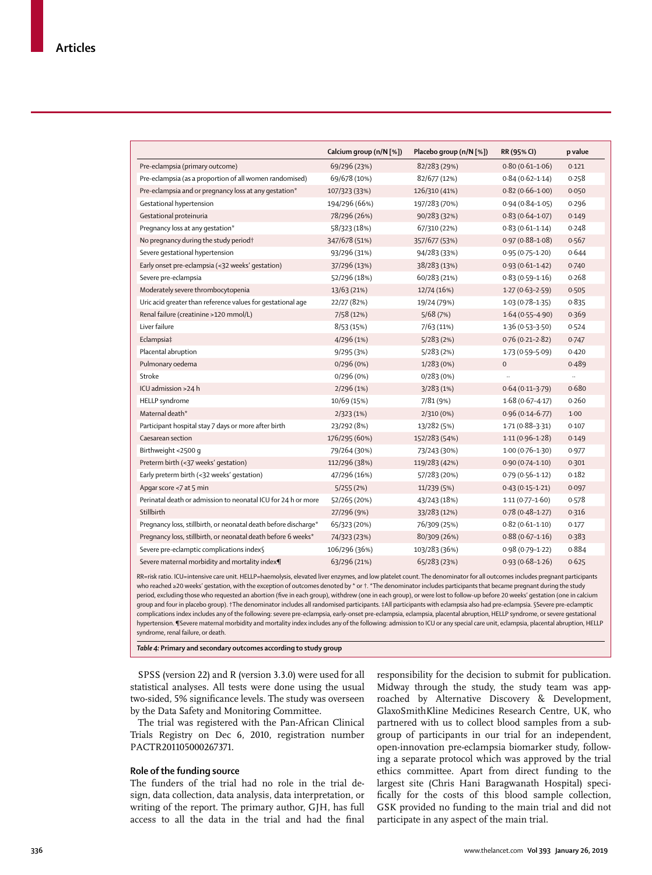|                                                                 | Calcium group (n/N [%]) | Placebo group (n/N [%]) | RR (95% CI)         | p value   |
|-----------------------------------------------------------------|-------------------------|-------------------------|---------------------|-----------|
| Pre-eclampsia (primary outcome)                                 | 69/296 (23%)            | 82/283 (29%)            | $0.80(0.61-1.06)$   | 0.121     |
| Pre-eclampsia (as a proportion of all women randomised)         | 69/678 (10%)            | 82/677 (12%)            | $0.84(0.62 - 1.14)$ | 0.258     |
| Pre-eclampsia and or pregnancy loss at any gestation*           | 107/323 (33%)           | 126/310 (41%)           | $0.82(0.66 - 1.00)$ | 0.050     |
| Gestational hypertension                                        | 194/296 (66%)           | 197/283 (70%)           | $0.94(0.84 - 1.05)$ | 0.296     |
| Gestational proteinuria                                         | 78/296 (26%)            | 90/283 (32%)            | $0.83(0.64 - 1.07)$ | 0.149     |
| Pregnancy loss at any gestation*                                | 58/323 (18%)            | 67/310 (22%)            | $0.83(0.61 - 1.14)$ | 0.248     |
| No pregnancy during the study period†                           | 347/678 (51%)           | 357/677 (53%)           | $0.97(0.88 - 1.08)$ | 0.567     |
| Severe gestational hypertension                                 | 93/296 (31%)            | 94/283 (33%)            | $0.95(0.75 - 1.20)$ | 0.644     |
| Early onset pre-eclampsia (<32 weeks' gestation)                | 37/296 (13%)            | 38/283 (13%)            | $0.93(0.61-1.42)$   | 0.740     |
| Severe pre-eclampsia                                            | 52/296 (18%)            | 60/283 (21%)            | $0.83(0.59 - 1.16)$ | 0.268     |
| Moderately severe thrombocytopenia                              | 13/63 (21%)             | 12/74 (16%)             | $1.27(0.63 - 2.59)$ | 0.505     |
| Uric acid greater than reference values for gestational age     | 22/27 (82%)             | 19/24 (79%)             | $1.03(0.78-1.35)$   | 0.835     |
| Renal failure (creatinine >120 mmol/L)                          | 7/58 (12%)              | 5/68(7%)                | $1.64(0.55 - 4.90)$ | 0.369     |
| Liver failure                                                   | 8/53 (15%)              | 7/63 (11%)              | $1.36(0.53 - 3.50)$ | 0.524     |
| Eclampsia‡                                                      | 4/296 (1%)              | 5/283(2%)               | $0.76(0.21 - 2.82)$ | 0.747     |
| Placental abruption                                             | 9/295 (3%)              | 5/283(2%)               | $1.73(0.59 - 5.09)$ | 0.420     |
| Pulmonary oedema                                                | 0/296 (0%)              | 1/283(0%)               | $\mathbf 0$         | 0.489     |
| Stroke                                                          | 0/296(0%)               | 0/283(0%)               |                     | $\ddotsc$ |
| ICU admission >24 h                                             | 2/296 (1%)              | 3/283(1%)               | $0.64(0.11-3.79)$   | 0.680     |
| <b>HELLP</b> syndrome                                           | 10/69 (15%)             | 7/81 (9%)               | $1.68(0.67 - 4.17)$ | 0.260     |
| Maternal death*                                                 | 2/323(1%)               | 2/310 (0%)              | $0.96(0.14 - 6.77)$ | $1-00$    |
| Participant hospital stay 7 days or more after birth            | 23/292 (8%)             | 13/282 (5%)             | $1.71(0.88 - 3.31)$ | 0.107     |
| Caesarean section                                               | 176/295 (60%)           | 152/283 (54%)           | $1.11(0.96 - 1.28)$ | 0.149     |
| Birthweight <2500 g                                             | 79/264 (30%)            | 73/243 (30%)            | $1.00(0.76 - 1.30)$ | 0.977     |
| Preterm birth (<37 weeks' gestation)                            | 112/296 (38%)           | 119/283 (42%)           | $0.90(0.74 - 1.10)$ | 0.301     |
| Early preterm birth (<32 weeks' gestation)                      | 47/296 (16%)            | 57/283 (20%)            | $0.79(0.56 - 1.12)$ | 0.182     |
| Apgar score <7 at 5 min                                         | 5/255(2%)               | 11/239 (5%)             | $0.43(0.15 - 1.21)$ | 0.097     |
| Perinatal death or admission to neonatal ICU for 24 h or more   | 52/265 (20%)            | 43/243 (18%)            | $1.11(0.77 - 1.60)$ | 0.578     |
| Stillbirth                                                      | 27/296 (9%)             | 33/283 (12%)            | $0.78(0.48-1.27)$   | 0.316     |
| Pregnancy loss, stillbirth, or neonatal death before discharge* | 65/323 (20%)            | 76/309 (25%)            | $0.82(0.61 - 1.10)$ | 0.177     |
| Pregnancy loss, stillbirth, or neonatal death before 6 weeks*   | 74/323 (23%)            | 80/309 (26%)            | $0.88(0.67 - 1.16)$ | 0.383     |
| Severe pre-eclamptic complications index§                       | 106/296 (36%)           | 103/283 (36%)           | $0.98(0.79 - 1.22)$ | 0.884     |
| Severe maternal morbidity and mortality index¶                  | 63/296 (21%)            | 65/283 (23%)            | $0.93(0.68 - 1.26)$ | 0.625     |

RR=risk ratio. ICU=intensive care unit. HELLP=haemolysis, elevated liver enzymes, and low platelet count. The denominator for all outcomes includes pregnant participants who reached ≥20 weeks' gestation, with the exception of outcomes denoted by \* or †. \*The denominator includes participants that became pregnant during the study period, excluding those who requested an abortion (five in each group), withdrew (one in each group), or were lost to follow-up before 20 weeks' gestation (one in calcium group and four in placebo group). †The denominator includes all randomised participants. ‡All participants with eclampsia also had pre-eclampsia. §Severe pre-eclamptic complications index includes any of the following: severe pre-eclampsia, early-onset pre-eclampsia, eclampsia, placental abruption, HELLP syndrome, or severe gestational hypertension. ¶Severe maternal morbidity and mortality index includes any of the following: admission to ICU or any special care unit, eclampsia, placental abruption, HELLP syndrome, renal failure, or death.

*Table 4:* **Primary and secondary outcomes according to study group**

SPSS (version 22) and R (version 3.3.0) were used for all statistical analyses. All tests were done using the usual two-sided, 5% significance levels. The study was overseen by the Data Safety and Monitoring Committee.

The trial was registered with the Pan-African Clinical Trials Registry on Dec 6, 2010, registration number PACTR201105000267371.

#### **Role of the funding source**

The funders of the trial had no role in the trial design, data collection, data analysis, data interpretation, or writing of the report. The primary author, GJH, has full access to all the data in the trial and had the final responsibility for the decision to submit for publication. Midway through the study, the study team was approached by Alternative Discovery & Development, GlaxoSmithKline Medicines Research Centre, UK, who partnered with us to collect blood samples from a subgroup of participants in our trial for an independent, open-innovation pre-eclampsia biomarker study, following a separate protocol which was approved by the trial ethics committee. Apart from direct funding to the largest site (Chris Hani Baragwanath Hospital) specifically for the costs of this blood sample collection, GSK provided no funding to the main trial and did not participate in any aspect of the main trial.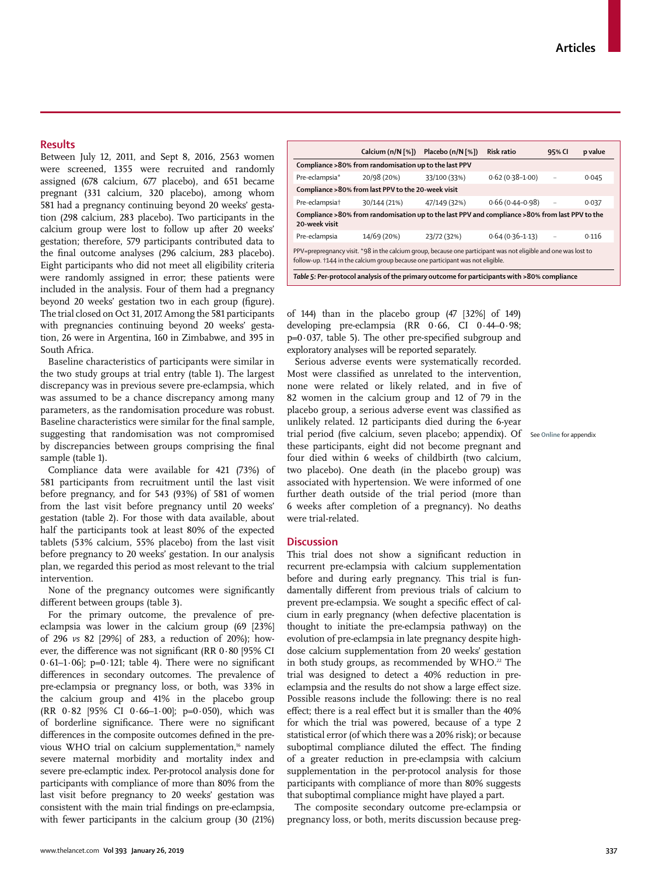#### **Results**

Between July 12, 2011, and Sept 8, 2016, 2563 women were screened, 1355 were recruited and randomly assigned (678 calcium, 677 placebo), and 651 became pregnant (331 calcium, 320 placebo), among whom 581 had a pregnancy continuing beyond 20 weeks' gestation (298 calcium, 283 placebo). Two participants in the calcium group were lost to follow up after 20 weeks' gestation; therefore, 579 participants contributed data to the final outcome analyses (296 calcium, 283 placebo). Eight participants who did not meet all eligibility criteria were randomly assigned in error; these patients were included in the analysis. Four of them had a pregnancy beyond 20 weeks' gestation two in each group (figure). The trial closed on Oct 31, 2017. Among the 581 participants with pregnancies continuing beyond 20 weeks' gestation, 26 were in Argentina, 160 in Zimbabwe, and 395 in South Africa.

Baseline characteristics of participants were similar in the two study groups at trial entry (table 1). The largest discrepancy was in previous severe pre-eclampsia, which was assumed to be a chance discrepancy among many parameters, as the randomisation procedure was robust. Baseline characteristics were similar for the final sample, suggesting that randomisation was not compromised by discrepancies between groups comprising the final sample (table 1).

Compliance data were available for 421 (73%) of 581 participants from recruitment until the last visit before pregnancy, and for 543 (93%) of 581 of women from the last visit before pregnancy until 20 weeks' gestation (table 2). For those with data available, about half the participants took at least 80% of the expected tablets (53% calcium, 55% placebo) from the last visit before pregnancy to 20 weeks' gestation. In our analysis plan, we regarded this period as most relevant to the trial intervention.

None of the pregnancy outcomes were significantly different between groups (table 3).

For the primary outcome, the prevalence of preeclampsia was lower in the calcium group (69 [23%] of 296 *vs* 82 [29%] of 283, a reduction of 20%); however, the difference was not significant (RR 0·80 [95% CI 0.61–1.06]; p=0.121; table 4). There were no significant differences in secondary outcomes. The prevalence of pre-eclampsia or pregnancy loss, or both, was 33% in the calcium group and 41% in the placebo group (RR 0·82 [95% CI 0·66–1·00]; p=0·050), which was of borderline significance. There were no significant differences in the composite outcomes defined in the previous WHO trial on calcium supplementation,<sup>16</sup> namely severe maternal morbidity and mortality index and severe pre-eclamptic index. Per-protocol analysis done for participants with compliance of more than 80% from the last visit before pregnancy to 20 weeks' gestation was consistent with the main trial findings on pre-eclampsia, with fewer participants in the calcium group (30 (21%)

|                                                                                                                                                                                                  |              | Calcium (n/N [%]) Placebo (n/N [%]) | <b>Risk ratio</b>   | 95% CI    | p value |  |
|--------------------------------------------------------------------------------------------------------------------------------------------------------------------------------------------------|--------------|-------------------------------------|---------------------|-----------|---------|--|
| Compliance > 80% from randomisation up to the last PPV                                                                                                                                           |              |                                     |                     |           |         |  |
| Pre-eclampsia*                                                                                                                                                                                   | 20/98 (20%)  | 33/100 (33%)                        | $0.62(0.38-1.00)$   |           | 0.045   |  |
| Compliance >80% from last PPV to the 20-week visit                                                                                                                                               |              |                                     |                     |           |         |  |
| Pre-eclampsia†                                                                                                                                                                                   | 30/144 (21%) | 47/149 (32%)                        | $0.66(0.44 - 0.98)$ | $\ddotsc$ | 0.037   |  |
| Compliance >80% from randomisation up to the last PPV and compliance >80% from last PPV to the<br>20-week visit                                                                                  |              |                                     |                     |           |         |  |
| Pre-eclampsia                                                                                                                                                                                    | 14/69 (20%)  | 23/72 (32%)                         | $0.64(0.36 - 1.13)$ |           | 0.116   |  |
| PPV=prepregnancy visit. *98 in the calcium group, because one participant was not eligible and one was lost to<br>follow-up. †144 in the calcium group because one participant was not eligible. |              |                                     |                     |           |         |  |
| Table 5: Per-protocol analysis of the primary outcome for participants with >80% compliance                                                                                                      |              |                                     |                     |           |         |  |

of 144) than in the placebo group (47 [32%] of 149) developing pre-eclampsia (RR 0·66, CI 0·44–0·98; p=0·037, table 5). The other pre-specified subgroup and exploratory analyses will be reported separately.

Serious adverse events were systematically recorded. Most were classified as unrelated to the intervention, none were related or likely related, and in five of 82 women in the calcium group and 12 of 79 in the placebo group, a serious adverse event was classified as unlikely related. 12 participants died during the 6-year trial period (five calcium, seven placebo; appendix). Of See **Online** for appendixthese participants, eight did not become pregnant and four died within 6 weeks of childbirth (two calcium, two placebo). One death (in the placebo group) was associated with hypertension. We were informed of one further death outside of the trial period (more than 6 weeks after completion of a pregnancy). No deaths were trial-related.

#### **Discussion**

This trial does not show a significant reduction in recurrent pre-eclampsia with calcium supplementation before and during early pregnancy. This trial is fundamentally different from previous trials of calcium to prevent pre-eclampsia. We sought a specific effect of calcium in early pregnancy (when defective placentation is thought to initiate the pre-eclampsia pathway) on the evolution of pre-eclampsia in late pregnancy despite highdose calcium supplementation from 20 weeks' gestation in both study groups, as recommended by  $WHO.<sup>22</sup>$  The trial was designed to detect a 40% reduction in preeclampsia and the results do not show a large effect size. Possible reasons include the following: there is no real effect; there is a real effect but it is smaller than the 40% for which the trial was powered, because of a type 2 statistical error (of which there was a 20% risk); or because suboptimal compliance diluted the effect. The finding of a greater reduction in pre-eclampsia with calcium supplementation in the per-protocol analysis for those participants with compliance of more than 80% suggests that suboptimal compliance might have played a part.

The composite secondary outcome pre-eclampsia or pregnancy loss, or both, merits discussion because preg-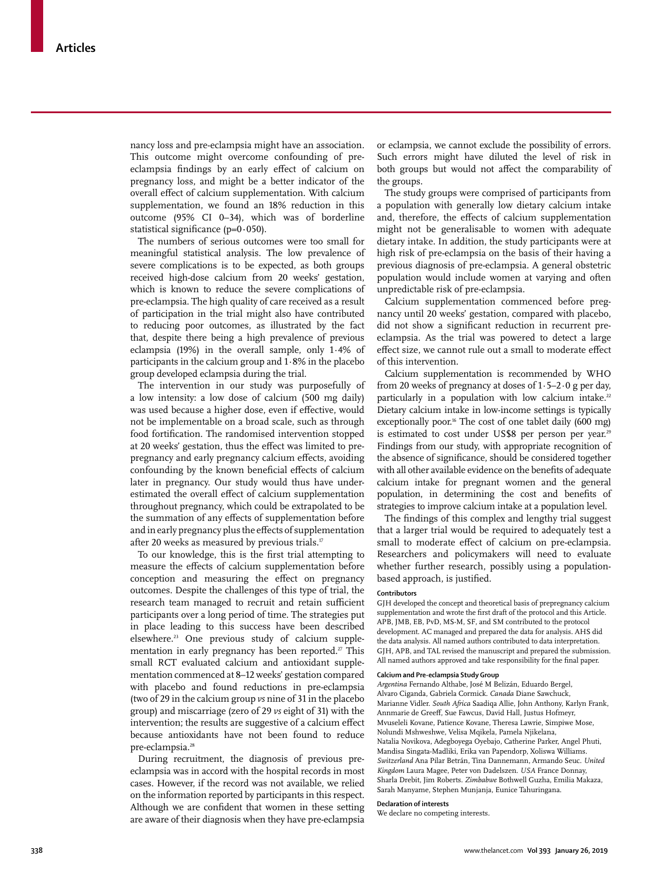nancy loss and pre-eclampsia might have an association. This outcome might overcome confounding of preeclampsia findings by an early effect of calcium on pregnancy loss, and might be a better indicator of the overall effect of calcium supplementation. With calcium supplementation, we found an 18% reduction in this outcome (95% CI 0–34), which was of borderline statistical significance (p=0**·**050).

The numbers of serious outcomes were too small for meaningful statistical analysis. The low prevalence of severe complications is to be expected, as both groups received high-dose calcium from 20 weeks' gestation, which is known to reduce the severe complications of pre-eclampsia. The high quality of care received as a result of participation in the trial might also have contributed to reducing poor outcomes, as illustrated by the fact that, despite there being a high prevalence of previous eclampsia (19%) in the overall sample, only 1·4% of participants in the calcium group and 1·8% in the placebo group developed eclampsia during the trial.

The intervention in our study was purposefully of a low intensity: a low dose of calcium (500 mg daily) was used because a higher dose, even if effective, would not be implementable on a broad scale, such as through food fortification. The randomised intervention stopped at 20 weeks' gestation, thus the effect was limited to prepregnancy and early pregnancy calcium effects, avoiding confounding by the known beneficial effects of calcium later in pregnancy. Our study would thus have underestimated the overall effect of calcium supplementation throughout pregnancy, which could be extrapolated to be the summation of any effects of supplementation before and in early pregnancy plus the effects of supplementation after 20 weeks as measured by previous trials.<sup>17</sup>

To our knowledge, this is the first trial attempting to measure the effects of calcium supplementation before conception and measuring the effect on pregnancy outcomes. Despite the challenges of this type of trial, the research team managed to recruit and retain sufficient participants over a long period of time. The strategies put in place leading to this success have been described elsewhere.23 One previous study of calcium supplementation in early pregnancy has been reported.<sup>27</sup> This small RCT evaluated calcium and antioxidant supplementation commenced at 8–12 weeks' gestation compared with placebo and found reductions in pre-eclampsia (two of 29 in the calcium group *vs* nine of 31 in the placebo group) and miscarriage (zero of 29 *vs* eight of 31) with the intervention; the results are suggestive of a calcium effect because antioxidants have not been found to reduce pre-eclampsia.<sup>28</sup>

During recruitment, the diagnosis of previous preeclampsia was in accord with the hospital records in most cases. However, if the record was not available, we relied on the information reported by participants in this respect. Although we are confident that women in these setting are aware of their diagnosis when they have pre-eclampsia or eclampsia, we cannot exclude the possibility of errors. Such errors might have diluted the level of risk in both groups but would not affect the comparability of the groups.

The study groups were comprised of participants from a population with generally low dietary calcium intake and, therefore, the effects of calcium supplementation might not be generalisable to women with adequate dietary intake. In addition, the study participants were at high risk of pre-eclampsia on the basis of their having a previous diagnosis of pre-eclampsia. A general obstetric population would include women at varying and often unpredictable risk of pre-eclampsia.

Calcium supplementation commenced before pregnancy until 20 weeks' gestation, compared with placebo, did not show a significant reduction in recurrent preeclampsia. As the trial was powered to detect a large effect size, we cannot rule out a small to moderate effect of this intervention.

Calcium supplementation is recommended by WHO from 20 weeks of pregnancy at doses of  $1.5-2.0$  g per day, particularly in a population with low calcium intake.<sup>22</sup> Dietary calcium intake in low-income settings is typically exceptionally poor.<sup>16</sup> The cost of one tablet daily (600 mg) is estimated to cost under US\$8 per person per year.<sup>29</sup> Findings from our study, with appropriate recognition of the absence of significance, should be considered together with all other available evidence on the benefits of adequate calcium intake for pregnant women and the general population, in determining the cost and benefits of strategies to improve calcium intake at a population level.

The findings of this complex and lengthy trial suggest that a larger trial would be required to adequately test a small to moderate effect of calcium on pre-eclampsia. Researchers and policymakers will need to evaluate whether further research, possibly using a populationbased approach, is justified.

#### **Contributors**

GJH developed the concept and theoretical basis of prepregnancy calcium supplementation and wrote the first draft of the protocol and this Article. APB, JMB, EB, PvD, MS-M, SF, and SM contributed to the protocol development. AC managed and prepared the data for analysis. AHS did the data analysis. All named authors contributed to data interpretation. GJH, APB, and TAL revised the manuscript and prepared the submission. All named authors approved and take responsibility for the final paper.

#### **Calcium and Pre-eclampsia Study Group**

*Argentina* Fernando Althabe, José M Belizán, Eduardo Bergel, Alvaro Ciganda, Gabriela Cormick. *Canada* Diane Sawchuck, Marianne Vidler. *South Africa* Saadiqa Allie, John Anthony, Karlyn Frank, Annmarie de Greeff, Sue Fawcus, David Hall, Justus Hofmeyr, Mvuseleli Kovane, Patience Kovane, Theresa Lawrie, Simpiwe Mose, Nolundi Mshweshwe, Velisa Mqikela, Pamela Njikelana, Natalia Novikova, Adegboyega Oyebajo, Catherine Parker, Angel Phuti, Mandisa Singata-Madliki, Erika van Papendorp, Xoliswa Williams. *Switzerland* Ana Pilar Betrán, Tina Dannemann, Armando Seuc. *United Kingdom* Laura Magee, Peter von Dadelszen. *USA* France Donnay, Sharla Drebit, Jim Roberts. *Zimbabwe* Bothwell Guzha, Emilia Makaza, Sarah Manyame, Stephen Munjanja, Eunice Tahuringana.

#### **Declaration of interests**

We declare no competing interests.